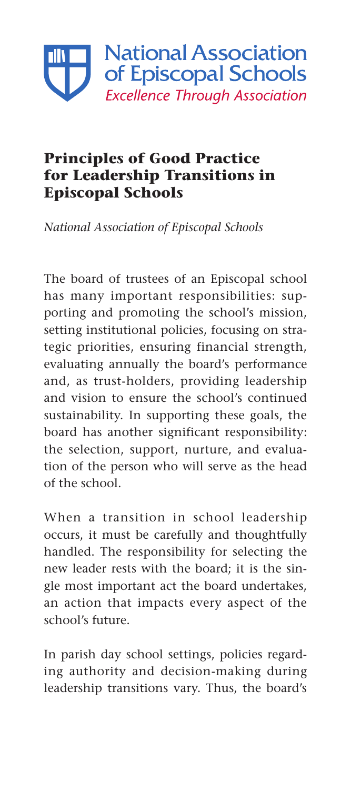

## **Principles of Good Practice for Leadership Transitions in Episcopal Schools**

*National Association of Episcopal Schools*

The board of trustees of an Episcopal school has many important responsibilities: supporting and promoting the school's mission, setting institutional policies, focusing on strategic priorities, ensuring financial strength, evaluating annually the board's performance and, as trust-holders, providing leadership and vision to ensure the school's continued sustainability. In supporting these goals, the board has another significant responsibility: the selection, support, nurture, and evaluation of the person who will serve as the head of the school.

When a transition in school leadership occurs, it must be carefully and thoughtfully handled. The responsibility for selecting the new leader rests with the board; it is the single most important act the board undertakes, an action that impacts every aspect of the school's future.

In parish day school settings, policies regarding authority and decision-making during leadership transitions vary. Thus, the board's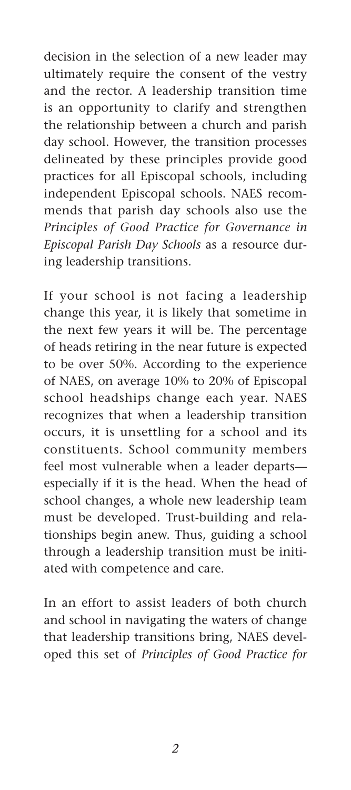decision in the selection of a new leader may ultimately require the consent of the vestry and the rector. A leadership transition time is an opportunity to clarify and strengthen the relationship between a church and parish day school. However, the transition processes delineated by these principles provide good practices for all Episcopal schools, including independent Episcopal schools. NAES recommends that parish day schools also use the *Principles of Good Practice for Governance in Episcopal Parish Day Schools* as a resource during leadership transitions.

If your school is not facing a leadership change this year, it is likely that sometime in the next few years it will be. The percentage of heads retiring in the near future is expected to be over 50%. According to the experience of NAES, on average 10% to 20% of Episcopal school headships change each year. NAES recognizes that when a leadership transition occurs, it is unsettling for a school and its constituents. School community members feel most vulnerable when a leader departs especially if it is the head. When the head of school changes, a whole new leadership team must be developed. Trust-building and relationships begin anew. Thus, guiding a school through a leadership transition must be initiated with competence and care.

In an effort to assist leaders of both church and school in navigating the waters of change that leadership transitions bring, NAES developed this set of *Principles of Good Practice for*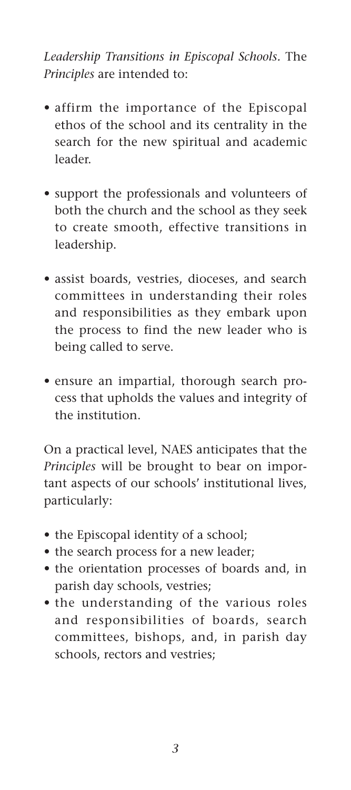## *Leadership Transitions in Episcopal Schools.* The *Principles* are intended to:

- affirm the importance of the Episcopal ethos of the school and its centrality in the search for the new spiritual and academic leader.
- • support the professionals and volunteers of both the church and the school as they seek to create smooth, effective transitions in leadership.
- • assist boards, vestries, dioceses, and search committees in understanding their roles and responsibilities as they embark upon the process to find the new leader who is being called to serve.
- ensure an impartial, thorough search process that upholds the values and integrity of the institution.

On a practical level, NAES anticipates that the *Principles* will be brought to bear on important aspects of our schools' institutional lives, particularly:

- the Episcopal identity of a school;
- the search process for a new leader;
- • the orientation processes of boards and, in parish day schools, vestries;
- the understanding of the various roles and responsibilities of boards, search committees, bishops, and, in parish day schools, rectors and vestries;